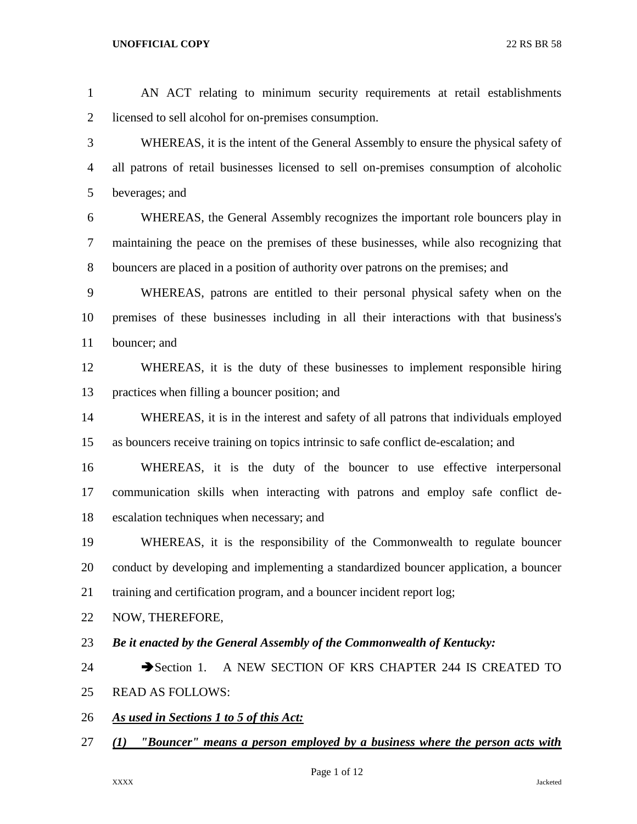AN ACT relating to minimum security requirements at retail establishments licensed to sell alcohol for on-premises consumption. WHEREAS, it is the intent of the General Assembly to ensure the physical safety of all patrons of retail businesses licensed to sell on-premises consumption of alcoholic beverages; and WHEREAS, the General Assembly recognizes the important role bouncers play in maintaining the peace on the premises of these businesses, while also recognizing that bouncers are placed in a position of authority over patrons on the premises; and WHEREAS, patrons are entitled to their personal physical safety when on the premises of these businesses including in all their interactions with that business's bouncer; and WHEREAS, it is the duty of these businesses to implement responsible hiring practices when filling a bouncer position; and WHEREAS, it is in the interest and safety of all patrons that individuals employed as bouncers receive training on topics intrinsic to safe conflict de-escalation; and WHEREAS, it is the duty of the bouncer to use effective interpersonal communication skills when interacting with patrons and employ safe conflict de- escalation techniques when necessary; and WHEREAS, it is the responsibility of the Commonwealth to regulate bouncer conduct by developing and implementing a standardized bouncer application, a bouncer training and certification program, and a bouncer incident report log; NOW, THEREFORE, *Be it enacted by the General Assembly of the Commonwealth of Kentucky:* 24 Section 1. A NEW SECTION OF KRS CHAPTER 244 IS CREATED TO READ AS FOLLOWS: *As used in Sections 1 to 5 of this Act: (1) "Bouncer" means a person employed by a business where the person acts with* 

Page 1 of 12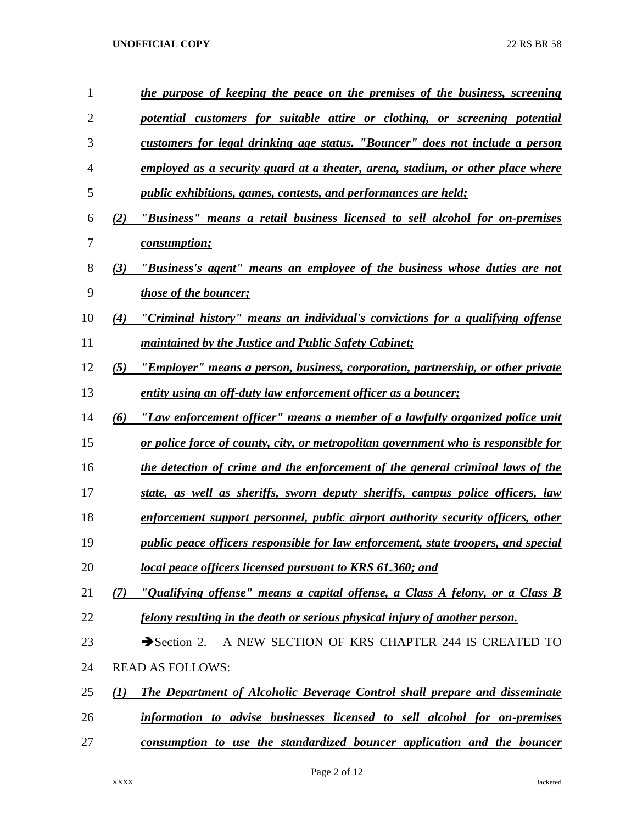| 1              |     | the purpose of keeping the peace on the premises of the business, screening               |  |  |
|----------------|-----|-------------------------------------------------------------------------------------------|--|--|
| $\overline{2}$ |     | potential customers for suitable attire or clothing, or screening potential               |  |  |
| 3              |     | customers for legal drinking age status. "Bouncer" does not include a person              |  |  |
| $\overline{4}$ |     | employed as a security guard at a theater, arena, stadium, or other place where           |  |  |
| 5              |     | <i>public exhibitions, games, contests, and performances are held;</i>                    |  |  |
| 6              | (2) | "Business" means a retail business licensed to sell alcohol for on-premises               |  |  |
| 7              |     | <i>consumption;</i>                                                                       |  |  |
| 8              | (3) | "Business's agent" means an employee of the business whose duties are not                 |  |  |
| 9              |     | <i>those of the bouncer;</i>                                                              |  |  |
| 10             | (4) | "Criminal history" means an individual's convictions for a qualifying offense             |  |  |
| 11             |     | <i>maintained by the Justice and Public Safety Cabinet;</i>                               |  |  |
| 12             | (5) | <u>"Employer" means a person, business, corporation, partnership, or other private</u>    |  |  |
| 13             |     | <u>entity using an off-duty law enforcement officer as a bouncer;</u>                     |  |  |
| 14             | (6) | "Law enforcement officer" means a member of a lawfully organized police unit              |  |  |
| 15             |     | or police force of county, city, or metropolitan government who is responsible for        |  |  |
| 16             |     | the detection of crime and the enforcement of the general criminal laws of the            |  |  |
| 17             |     | state, as well as sheriffs, sworn deputy sheriffs, campus police officers, law            |  |  |
| 18             |     | enforcement support personnel, public airport authority security officers, other          |  |  |
| 19             |     | <i>public peace officers responsible for law enforcement, state troopers, and special</i> |  |  |
| 20             |     | local peace officers licensed pursuant to KRS 61.360; and                                 |  |  |
| 21             | (7) | "Qualifying offense" means a capital offense, a Class A felony, or a Class B              |  |  |
| 22             |     | felony resulting in the death or serious physical injury of another person.               |  |  |
| 23             |     | Section 2. A NEW SECTION OF KRS CHAPTER 244 IS CREATED TO                                 |  |  |
| 24             |     | <b>READ AS FOLLOWS:</b>                                                                   |  |  |
| 25             | (1) | <b>The Department of Alcoholic Beverage Control shall prepare and disseminate</b>         |  |  |
| 26             |     | information to advise businesses licensed to sell alcohol for on-premises                 |  |  |
| 27             |     | consumption to use the standardized bouncer application and the bouncer                   |  |  |
|                |     |                                                                                           |  |  |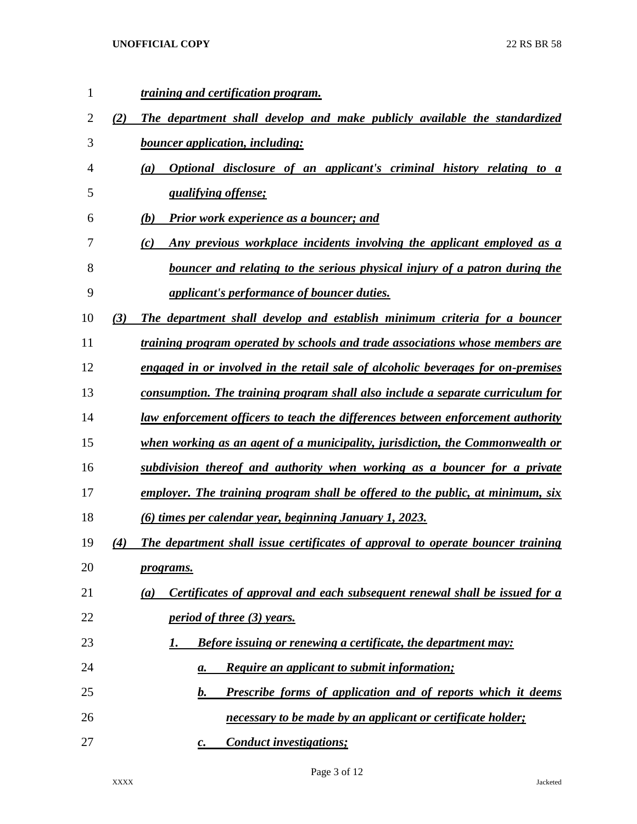| $\mathbf{1}$ |     | <u>training and certification program.</u>                                           |  |
|--------------|-----|--------------------------------------------------------------------------------------|--|
| 2            | (2) | The department shall develop and make publicly available the standardized            |  |
| 3            |     | <b>bouncer application, including:</b>                                               |  |
| 4            |     | Optional disclosure of an applicant's criminal history relating to a<br>(a)          |  |
| 5            |     | <i><u><b>qualifying offense;</b></u></i>                                             |  |
| 6            |     | Prior work experience as a bouncer; and<br>(b)                                       |  |
| 7            |     | Any previous workplace incidents involving the applicant employed as a<br>(c)        |  |
| 8            |     | bouncer and relating to the serious physical injury of a patron during the           |  |
| 9            |     | applicant's performance of bouncer duties.                                           |  |
| 10           | (3) | The department shall develop and establish minimum criteria for a bouncer            |  |
| 11           |     | <i>training program operated by schools and trade associations whose members are</i> |  |
| 12           |     | engaged in or involved in the retail sale of alcoholic beverages for on-premises     |  |
| 13           |     | consumption. The training program shall also include a separate curriculum for       |  |
| 14           |     | law enforcement officers to teach the differences between enforcement authority      |  |
| 15           |     | when working as an agent of a municipality, jurisdiction, the Commonwealth or        |  |
| 16           |     | subdivision thereof and authority when working as a bouncer for a private            |  |
| 17           |     | employer. The training program shall be offered to the public, at minimum, six       |  |
| 18           |     | (6) times per calendar year, beginning January 1, 2023.                              |  |
| 19           | (4) | The department shall issue certificates of approval to operate bouncer training      |  |
| 20           |     | <u>programs.</u>                                                                     |  |
| 21           |     | Certificates of approval and each subsequent renewal shall be issued for a<br>(a)    |  |
| 22           |     | <i>period of three (3) years.</i>                                                    |  |
| 23           |     | <b>Before issuing or renewing a certificate, the department may:</b><br>1.           |  |
| 24           |     | <b>Require an applicant to submit information;</b><br>а.                             |  |
| 25           |     | Prescribe forms of application and of reports which it deems<br>$\mathbf{b}$ .       |  |
| 26           |     | necessary to be made by an applicant or certificate holder;                          |  |
| 27           |     | <b>Conduct investigations;</b><br>$\mathcal{C}$ .                                    |  |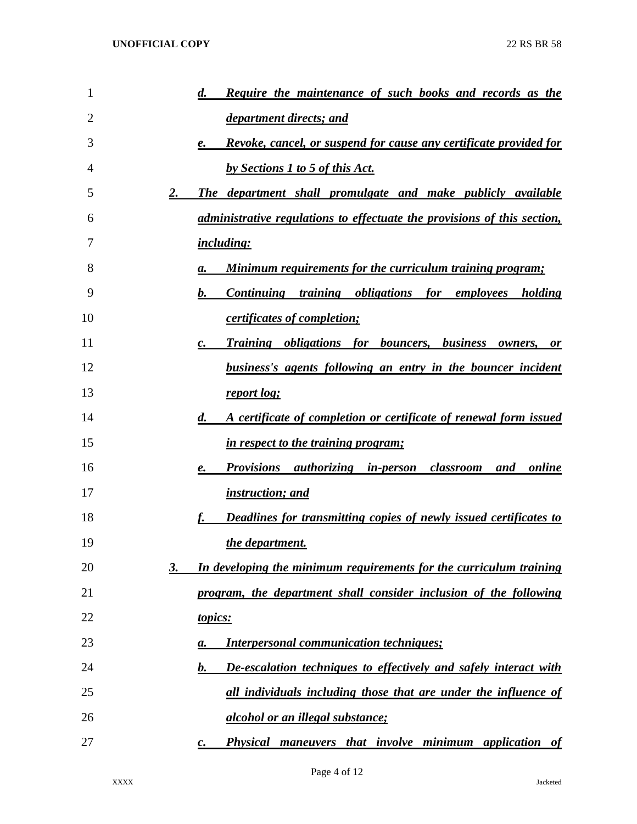| 1  | <b>Require the maintenance of such books and records as the</b><br>$\boldsymbol{d.}$          |
|----|-----------------------------------------------------------------------------------------------|
| 2  | department directs; and                                                                       |
| 3  | Revoke, cancel, or suspend for cause any certificate provided for<br>e.                       |
| 4  | by Sections 1 to 5 of this Act.                                                               |
| 5  | 2.<br>The department shall promulgate and make publicly available                             |
| 6  | <i>administrative regulations to effectuate the provisions of this section,</i>               |
| 7  | <i>including:</i>                                                                             |
| 8  | <b>Minimum requirements for the curriculum training program;</b><br>а.                        |
| 9  | Continuing training obligations for employees holding<br>b.                                   |
| 10 | <i>certificates of completion;</i>                                                            |
| 11 | <b>Training obligations for bouncers, business owners,</b><br>$\boldsymbol{c}$ .<br><i>or</i> |
| 12 | <u>business's agents following an entry in the bouncer incident</u>                           |
| 13 | report log;                                                                                   |
| 14 | A certificate of completion or certificate of renewal form issued<br>$\boldsymbol{d.}$        |
| 15 | in respect to the training program;                                                           |
| 16 | <b>Provisions authorizing in-person classroom</b><br>and online<br>e.                         |
| 17 | <i>instruction; and</i>                                                                       |
| 18 | <b>Deadlines for transmitting copies of newly issued certificates to</b>                      |
| 19 | the department.                                                                               |
| 20 | In developing the minimum requirements for the curriculum training<br>3.                      |
| 21 | program, the department shall consider inclusion of the following                             |
| 22 | topics:                                                                                       |
| 23 | <b>Interpersonal communication techniques;</b><br>a.                                          |
| 24 | De-escalation techniques to effectively and safely interact with<br>b.                        |
| 25 | all individuals including those that are under the influence of                               |
| 26 | <i>alcohol or an illegal substance;</i>                                                       |
| 27 | <b>Physical maneuvers that involve minimum application of</b><br>с.                           |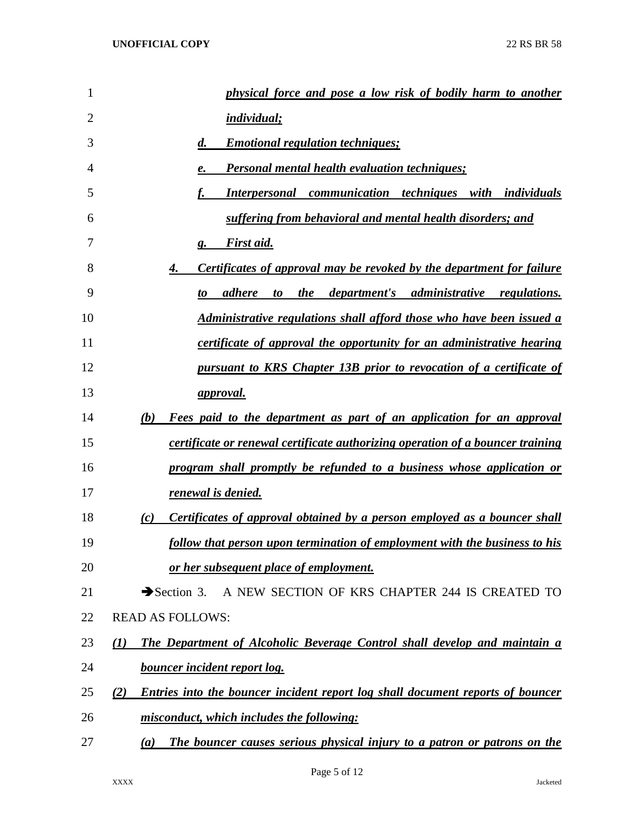| 1  | physical force and pose a low risk of bodily harm to another                                  |
|----|-----------------------------------------------------------------------------------------------|
| 2  | <b>individual</b> ;                                                                           |
| 3  | <b>Emotional regulation techniques;</b><br>$\boldsymbol{d}$ .                                 |
| 4  | <b>Personal mental health evaluation techniques;</b><br>e.                                    |
| 5  | <b>Interpersonal communication techniques with individuals</b>                                |
| 6  | suffering from behavioral and mental health disorders; and                                    |
| 7  | <b>First aid.</b><br>g.                                                                       |
| 8  | <u>Certificates of approval may be revoked by the department for failure</u><br>4.            |
| 9  | <i>department's administrative regulations.</i><br>adhere<br>the<br>to<br>to                  |
| 10 | Administrative regulations shall afford those who have been issued a                          |
| 11 | certificate of approval the opportunity for an administrative hearing                         |
| 12 | pursuant to KRS Chapter 13B prior to revocation of a certificate of                           |
| 13 | <u>approval.</u>                                                                              |
| 14 | Fees paid to the department as part of an application for an approval<br>(b)                  |
| 15 | certificate or renewal certificate authorizing operation of a bouncer training                |
| 16 | program shall promptly be refunded to a business whose application or                         |
| 17 | renewal is denied.                                                                            |
| 18 | Certificates of approval obtained by a person employed as a bouncer shall<br>(c)              |
| 19 | follow that person upon termination of employment with the business to his                    |
| 20 | or her subsequent place of employment.                                                        |
| 21 | A NEW SECTION OF KRS CHAPTER 244 IS CREATED TO<br>$\rightarrow$ Section 3.                    |
| 22 | <b>READ AS FOLLOWS:</b>                                                                       |
| 23 | The Department of Alcoholic Beverage Control shall develop and maintain a<br>$\mathcal{L}(I)$ |
| 24 | <b>bouncer incident report log.</b>                                                           |
| 25 | Entries into the bouncer incident report log shall document reports of bouncer<br>(2)         |
| 26 | misconduct, which includes the following:                                                     |
| 27 | The bouncer causes serious physical injury to a patron or patrons on the<br>(a)               |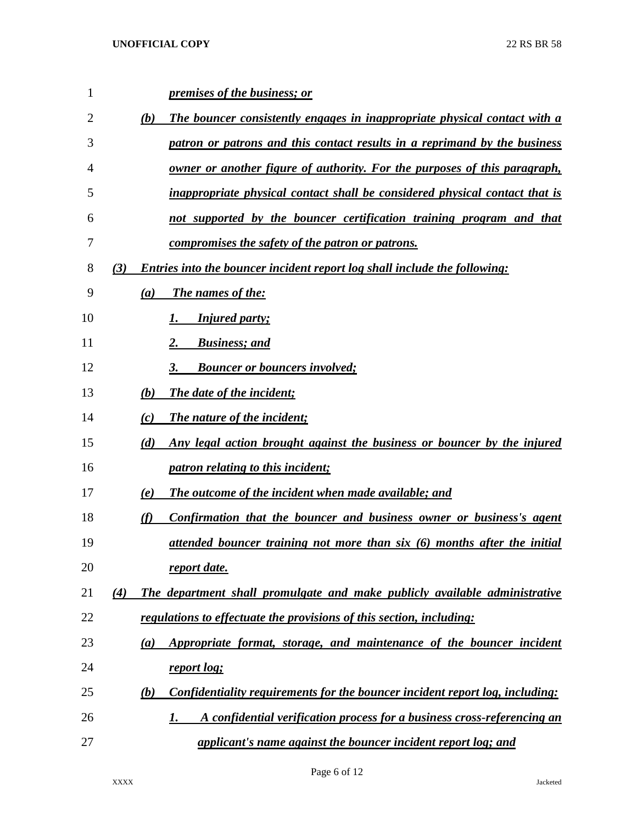| $\mathbf{1}$ |     | <i>premises of the business; or</i>                                                 |
|--------------|-----|-------------------------------------------------------------------------------------|
| 2            | (b) | <b>The bouncer consistently engages in inappropriate physical contact with a</b>    |
| 3            |     | patron or patrons and this contact results in a reprimand by the business           |
| 4            |     | owner or another figure of authority. For the purposes of this paragraph,           |
| 5            |     | inappropriate physical contact shall be considered physical contact that is         |
| 6            |     | not supported by the bouncer certification training program and that                |
| 7            |     | compromises the safety of the patron or patrons.                                    |
| 8            | (3) | <b>Entries into the bouncer incident report log shall include the following:</b>    |
| 9            | (a) | The names of the:                                                                   |
| 10           |     | <b>Injured party;</b>                                                               |
| 11           |     | <b>Business</b> ; and                                                               |
| 12           |     | <b>Bouncer or bouncers involved;</b><br>3.                                          |
| 13           | (b) | The date of the incident;                                                           |
| 14           | (c) | The nature of the incident;                                                         |
| 15           | (d) | Any legal action brought against the business or bouncer by the injured             |
| 16           |     | <i>patron relating to this incident;</i>                                            |
| 17           | (e) | The outcome of the incident when made available; and                                |
| 18           | (f) | Confirmation that the bouncer and business owner or business's agent                |
| 19           |     | attended bouncer training not more than six (6) months after the initial            |
| 20           |     | report date.                                                                        |
| 21           | (4) | The department shall promulgate and make publicly available administrative          |
| 22           |     | regulations to effectuate the provisions of this section, including:                |
| 23           | (a) | Appropriate format, storage, and maintenance of the bouncer incident                |
| 24           |     | report log;                                                                         |
| 25           | (b) | <b>Confidentiality requirements for the bouncer incident report log, including:</b> |
| 26           |     | A confidential verification process for a business cross-referencing an<br>1.       |
| 27           |     | <u>applicant's name against the bouncer incident report log; and</u>                |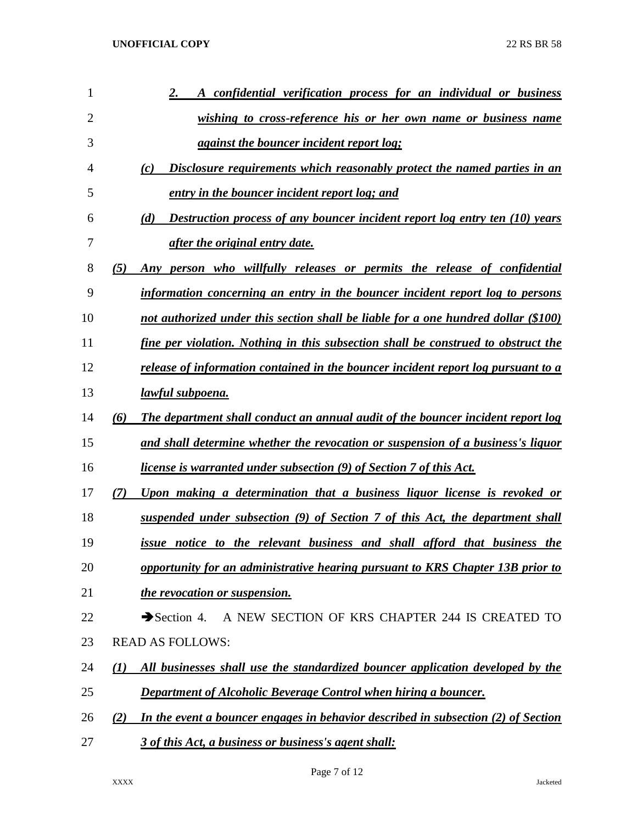| 1              | A confidential verification process for an individual or business<br>2.                    |
|----------------|--------------------------------------------------------------------------------------------|
| $\overline{2}$ | wishing to cross-reference his or her own name or business name                            |
| 3              | <i>against the bouncer incident report log;</i>                                            |
| 4              | Disclosure requirements which reasonably protect the named parties in an<br>(c)            |
| 5              | entry in the bouncer incident report log; and                                              |
| 6              | <b>Destruction process of any bouncer incident report log entry ten (10) years</b><br>(d)  |
| 7              | <i>after the original entry date.</i>                                                      |
| 8              | (5)<br>Any person who willfully releases or permits the release of confidential            |
| 9              | information concerning an entry in the bouncer incident report log to persons              |
| 10             | not authorized under this section shall be liable for a one hundred dollar (\$100)         |
| 11             | fine per violation. Nothing in this subsection shall be construed to obstruct the          |
| 12             | release of information contained in the bouncer incident report log pursuant to a          |
| 13             | lawful subpoena.                                                                           |
| 14             | The department shall conduct an annual audit of the bouncer incident report log<br>(6)     |
| 15             | and shall determine whether the revocation or suspension of a business's liquor            |
| 16             | <i>license is warranted under subsection (9) of Section 7 of this Act.</i>                 |
| 17             | Upon making a determination that a business liquor license is revoked or<br>(7)            |
| 18             | suspended under subsection (9) of Section 7 of this Act, the department shall              |
| 19             | <u>issue notice to the relevant business and shall afford that business the</u>            |
| 20             | opportunity for an administrative hearing pursuant to KRS Chapter 13B prior to             |
| 21             | the revocation or suspension.                                                              |
| 22             | A NEW SECTION OF KRS CHAPTER 244 IS CREATED TO<br>$\rightarrow$ Section 4.                 |
| 23             | <b>READ AS FOLLOWS:</b>                                                                    |
| 24             | All businesses shall use the standardized bouncer application developed by the<br>(I)      |
| 25             | <b>Department of Alcoholic Beverage Control when hiring a bouncer.</b>                     |
| 26             | In the event a bouncer engages in behavior described in subsection $(2)$ of Section<br>(2) |
| 27             | 3 of this Act, a business or business's agent shall:                                       |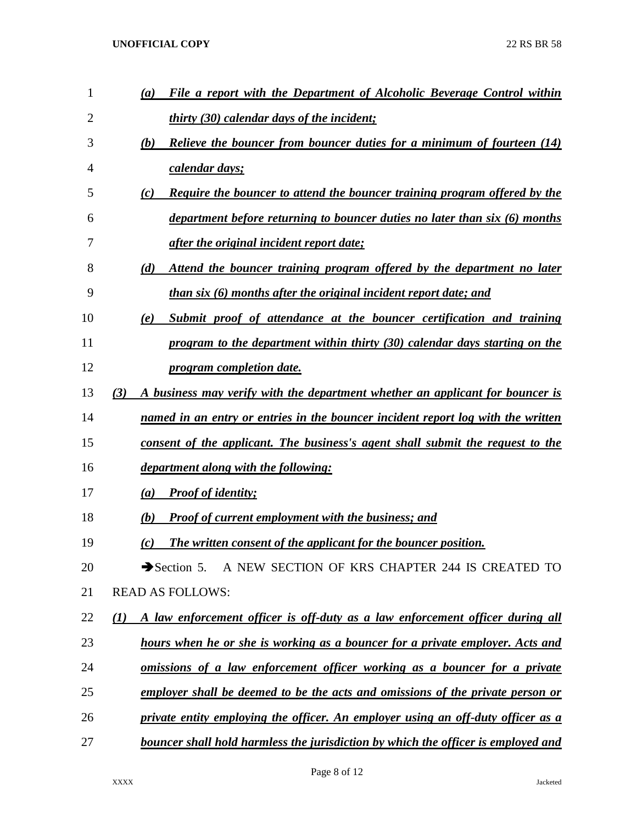| 1              | File a report with the Department of Alcoholic Beverage Control within<br>(a)        |
|----------------|--------------------------------------------------------------------------------------|
| $\overline{2}$ | <i>thirty (30) calendar days of the incident;</i>                                    |
| 3              | <b>Relieve the bouncer from bouncer duties for a minimum of fourteen (14)</b><br>(b) |
| 4              | calendar days;                                                                       |
| 5              | Require the bouncer to attend the bouncer training program offered by the<br>(c)     |
| 6              | department before returning to bouncer duties no later than six (6) months           |
| 7              | <i>after the original incident report date;</i>                                      |
| 8              | (d)<br>Attend the bouncer training program offered by the department no later        |
| 9              | than six (6) months after the original incident report date; and                     |
| 10             | Submit proof of attendance at the bouncer certification and training<br>(e)          |
| 11             | program to the department within thirty (30) calendar days starting on the           |
| 12             | <i><u><b>program</b></u></i> completion date.                                        |
| 13             | (3)<br>A business may verify with the department whether an applicant for bouncer is |
| 14             | named in an entry or entries in the bouncer incident report log with the written     |
| 15             | consent of the applicant. The business's agent shall submit the request to the       |
| 16             | <i>department along with the following:</i>                                          |
| 17             | <b>Proof of identity;</b><br>(a)                                                     |
| 18             | <b>Proof of current employment with the business; and</b><br>(b)                     |
| 19             | The written consent of the applicant for the bouncer position.<br>(c)                |
| 20             | Section 5. A NEW SECTION OF KRS CHAPTER 244 IS CREATED TO                            |
| 21             | <b>READ AS FOLLOWS:</b>                                                              |
| 22             | A law enforcement officer is off-duty as a law enforcement officer during all<br>(I) |
| 23             | hours when he or she is working as a bouncer for a private employer. Acts and        |
| 24             | <u>omissions of a law enforcement officer working as a bouncer for a private</u>     |
| 25             | employer shall be deemed to be the acts and omissions of the private person or       |
| 26             | private entity employing the officer. An employer using an off-duty officer as a     |
| 27             | bouncer shall hold harmless the jurisdiction by which the officer is employed and    |
|                |                                                                                      |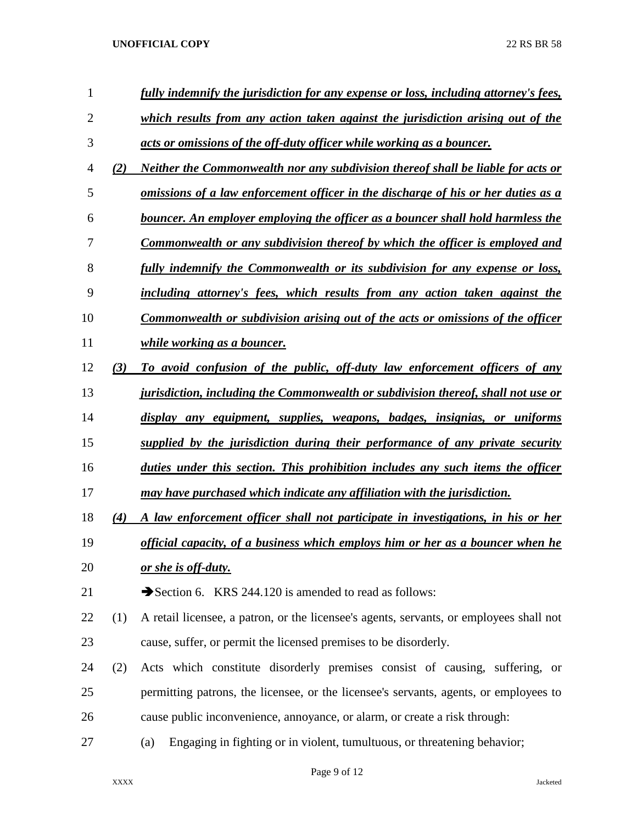| 1              |     | fully indemnify the jurisdiction for any expense or loss, including attorney's fees,    |  |  |
|----------------|-----|-----------------------------------------------------------------------------------------|--|--|
| $\overline{2}$ |     | which results from any action taken against the jurisdiction arising out of the         |  |  |
| 3              |     | acts or omissions of the off-duty officer while working as a bouncer.                   |  |  |
| 4              | (2) | Neither the Commonwealth nor any subdivision thereof shall be liable for acts or        |  |  |
| 5              |     | omissions of a law enforcement officer in the discharge of his or her duties as a       |  |  |
| 6              |     | bouncer. An employer employing the officer as a bouncer shall hold harmless the         |  |  |
| 7              |     | Commonwealth or any subdivision thereof by which the officer is employed and            |  |  |
| 8              |     | fully indemnify the Commonwealth or its subdivision for any expense or loss,            |  |  |
| 9              |     | including attorney's fees, which results from any action taken against the              |  |  |
| 10             |     | <b>Commonwealth or subdivision arising out of the acts or omissions of the officer</b>  |  |  |
| 11             |     | <i>while working as a bouncer.</i>                                                      |  |  |
| 12             | (3) | To avoid confusion of the public, off-duty law enforcement officers of any              |  |  |
| 13             |     | jurisdiction, including the Commonwealth or subdivision thereof, shall not use or       |  |  |
| 14             |     | display any equipment, supplies, weapons, badges, insignias, or uniforms                |  |  |
| 15             |     | supplied by the jurisdiction during their performance of any private security           |  |  |
| 16             |     | duties under this section. This prohibition includes any such items the officer         |  |  |
| 17             |     | may have purchased which indicate any affiliation with the jurisdiction.                |  |  |
| 18             | (4) | A law enforcement officer shall not participate in investigations, in his or her        |  |  |
| 19             |     | official capacity, of a business which employs him or her as a bouncer when he          |  |  |
| 20             |     | <u>or she is off-duty.</u>                                                              |  |  |
| 21             |     | Section 6. KRS 244.120 is amended to read as follows:                                   |  |  |
| 22             | (1) | A retail licensee, a patron, or the licensee's agents, servants, or employees shall not |  |  |
| 23             |     | cause, suffer, or permit the licensed premises to be disorderly.                        |  |  |
| 24             | (2) | Acts which constitute disorderly premises consist of causing, suffering, or             |  |  |
| 25             |     | permitting patrons, the licensee, or the licensee's servants, agents, or employees to   |  |  |
| 26             |     | cause public inconvenience, annoyance, or alarm, or create a risk through:              |  |  |
| 27             |     | Engaging in fighting or in violent, tumultuous, or threatening behavior;<br>(a)         |  |  |
|                |     |                                                                                         |  |  |

Page 9 of 12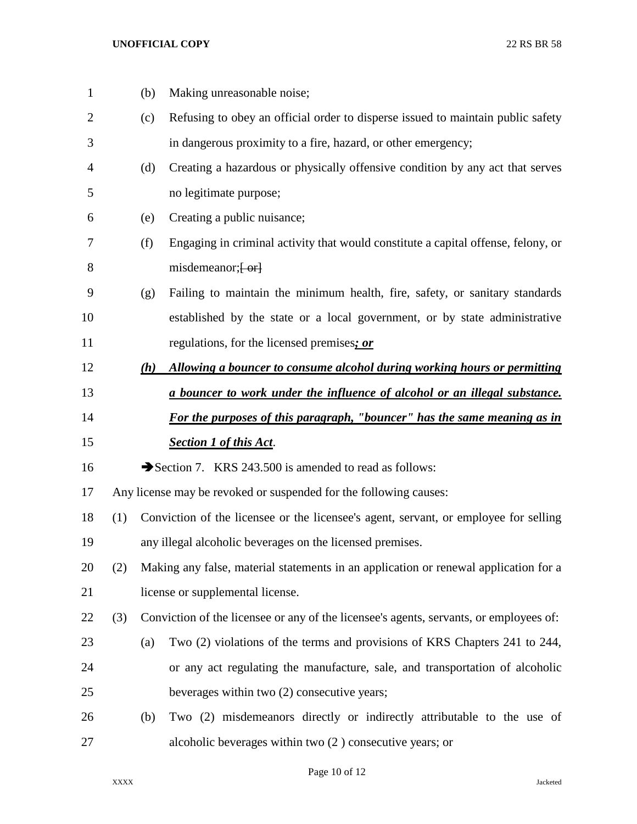| $\mathbf 1$    |                                                                           | (b)                                                                                  | Making unreasonable noise;                                                             |  |
|----------------|---------------------------------------------------------------------------|--------------------------------------------------------------------------------------|----------------------------------------------------------------------------------------|--|
| $\overline{2}$ |                                                                           | (c)                                                                                  | Refusing to obey an official order to disperse issued to maintain public safety        |  |
| 3              |                                                                           |                                                                                      | in dangerous proximity to a fire, hazard, or other emergency;                          |  |
| 4              |                                                                           | (d)                                                                                  | Creating a hazardous or physically offensive condition by any act that serves          |  |
| 5              |                                                                           |                                                                                      | no legitimate purpose;                                                                 |  |
| 6              |                                                                           | (e)                                                                                  | Creating a public nuisance;                                                            |  |
| 7              |                                                                           | (f)                                                                                  | Engaging in criminal activity that would constitute a capital offense, felony, or      |  |
| 8              |                                                                           |                                                                                      | misdemeanor, <del>[or]</del>                                                           |  |
| 9              |                                                                           | (g)                                                                                  | Failing to maintain the minimum health, fire, safety, or sanitary standards            |  |
| 10             |                                                                           |                                                                                      | established by the state or a local government, or by state administrative             |  |
| 11             |                                                                           |                                                                                      | regulations, for the licensed premises; or                                             |  |
| 12             |                                                                           | (h)                                                                                  | Allowing a bouncer to consume alcohol during working hours or permitting               |  |
| 13             | a bouncer to work under the influence of alcohol or an illegal substance. |                                                                                      |                                                                                        |  |
| 14             |                                                                           |                                                                                      | For the purposes of this paragraph, "bouncer" has the same meaning as in               |  |
| 15             |                                                                           |                                                                                      | <b>Section 1 of this Act.</b>                                                          |  |
| 16             |                                                                           |                                                                                      | Section 7. KRS 243.500 is amended to read as follows:                                  |  |
| 17             |                                                                           |                                                                                      | Any license may be revoked or suspended for the following causes:                      |  |
| 18             | (1)                                                                       | Conviction of the licensee or the licensee's agent, servant, or employee for selling |                                                                                        |  |
| 19             |                                                                           | any illegal alcoholic beverages on the licensed premises.                            |                                                                                        |  |
| 20             | (2)                                                                       | Making any false, material statements in an application or renewal application for a |                                                                                        |  |
| 21             |                                                                           |                                                                                      | license or supplemental license.                                                       |  |
| 22             | (3)                                                                       |                                                                                      | Conviction of the licensee or any of the licensee's agents, servants, or employees of: |  |
| 23             |                                                                           | (a)                                                                                  | Two (2) violations of the terms and provisions of KRS Chapters 241 to 244,             |  |
| 24             |                                                                           |                                                                                      | or any act regulating the manufacture, sale, and transportation of alcoholic           |  |
| 25             |                                                                           |                                                                                      | beverages within two (2) consecutive years;                                            |  |
| 26             |                                                                           | (b)                                                                                  | Two (2) misdemeanors directly or indirectly attributable to the use of                 |  |
| 27             |                                                                           |                                                                                      | alcoholic beverages within two $(2)$ consecutive years; or                             |  |

## Page 10 of 12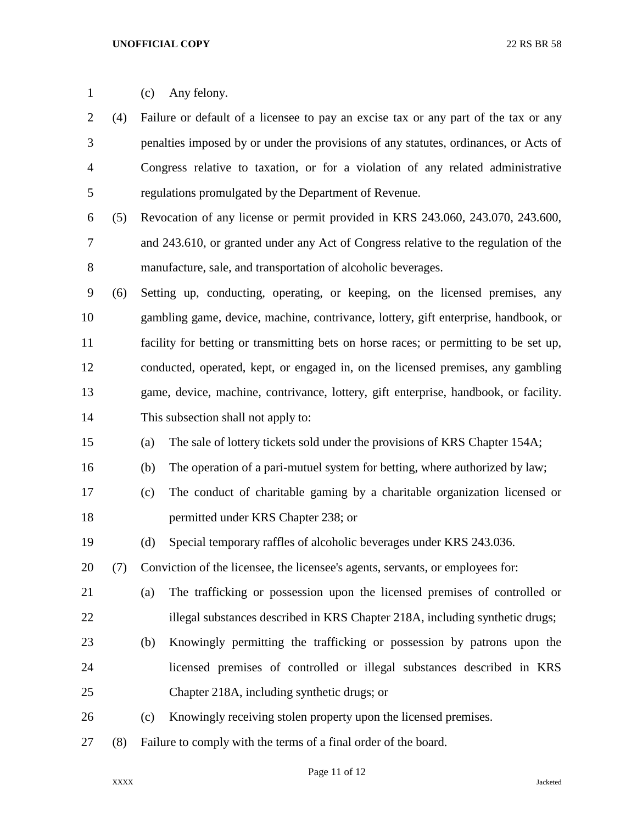(c) Any felony. (4) Failure or default of a licensee to pay an excise tax or any part of the tax or any penalties imposed by or under the provisions of any statutes, ordinances, or Acts of Congress relative to taxation, or for a violation of any related administrative regulations promulgated by the Department of Revenue. (5) Revocation of any license or permit provided in KRS 243.060, 243.070, 243.600, and 243.610, or granted under any Act of Congress relative to the regulation of the manufacture, sale, and transportation of alcoholic beverages. (6) Setting up, conducting, operating, or keeping, on the licensed premises, any gambling game, device, machine, contrivance, lottery, gift enterprise, handbook, or facility for betting or transmitting bets on horse races; or permitting to be set up, conducted, operated, kept, or engaged in, on the licensed premises, any gambling game, device, machine, contrivance, lottery, gift enterprise, handbook, or facility. This subsection shall not apply to: (a) The sale of lottery tickets sold under the provisions of KRS Chapter 154A; (b) The operation of a pari-mutuel system for betting, where authorized by law; (c) The conduct of charitable gaming by a charitable organization licensed or permitted under KRS Chapter 238; or (d) Special temporary raffles of alcoholic beverages under KRS 243.036. (7) Conviction of the licensee, the licensee's agents, servants, or employees for: (a) The trafficking or possession upon the licensed premises of controlled or 22 illegal substances described in KRS Chapter 218A, including synthetic drugs; (b) Knowingly permitting the trafficking or possession by patrons upon the licensed premises of controlled or illegal substances described in KRS Chapter 218A, including synthetic drugs; or (c) Knowingly receiving stolen property upon the licensed premises. (8) Failure to comply with the terms of a final order of the board.